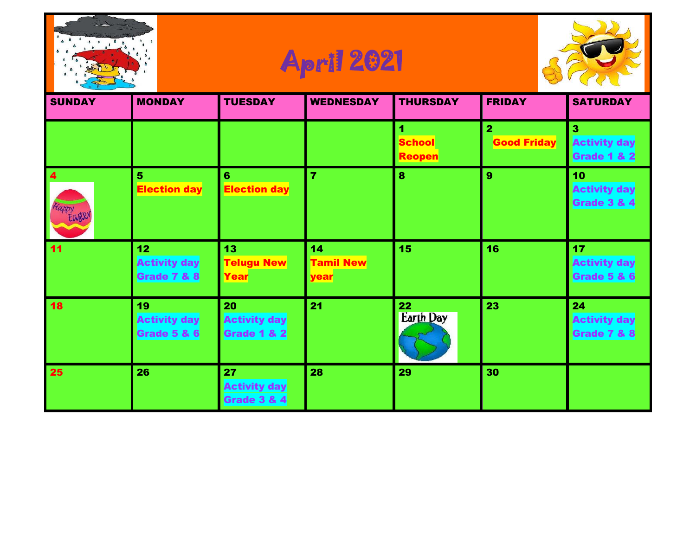





| <b>SUNDAY</b>     | <b>MONDAY</b>                                                    | <b>TUESDAY</b>                                      | <b>WEDNESDAY</b>               | <b>THURSDAY</b>                     | <b>FRIDAY</b>                      | <b>SATURDAY</b>                                     |
|-------------------|------------------------------------------------------------------|-----------------------------------------------------|--------------------------------|-------------------------------------|------------------------------------|-----------------------------------------------------|
|                   |                                                                  |                                                     |                                | 1<br><b>School</b><br><b>Reopen</b> | $\mathbf{2}$<br><b>Good Friday</b> | 3<br><b>Activity day</b><br><b>Grade 1 &amp; 2</b>  |
| 4<br>Happy Easter | 5<br><b>Election day</b>                                         | $6\phantom{1}$<br><b>Election day</b>               | $\overline{7}$                 | 8                                   | 9                                  | 10<br><b>Activity day</b><br><b>Grade 3 &amp; 4</b> |
| 11                | 12 <sub>2</sub><br><b>Activity day</b><br><b>Grade 7 &amp; 8</b> | 13<br><b>Telugu New</b><br>Year                     | 14<br><b>Tamil New</b><br>year | 15                                  | 16                                 | 17<br><b>Activity day</b><br><b>Grade 5 &amp; 6</b> |
| 18                | 19<br><b>Activity day</b><br><b>Grade 5 &amp; 6</b>              | 20<br><b>Activity day</b><br>Grade 1 & 2            | 21                             | 22<br><b>Earth Day</b>              | 23                                 | 24<br><b>Activity day</b><br><b>Grade 7 &amp; 8</b> |
| 25                | 26                                                               | 27<br><b>Activity day</b><br><b>Grade 3 &amp; 4</b> | 28                             | 29                                  | 30                                 |                                                     |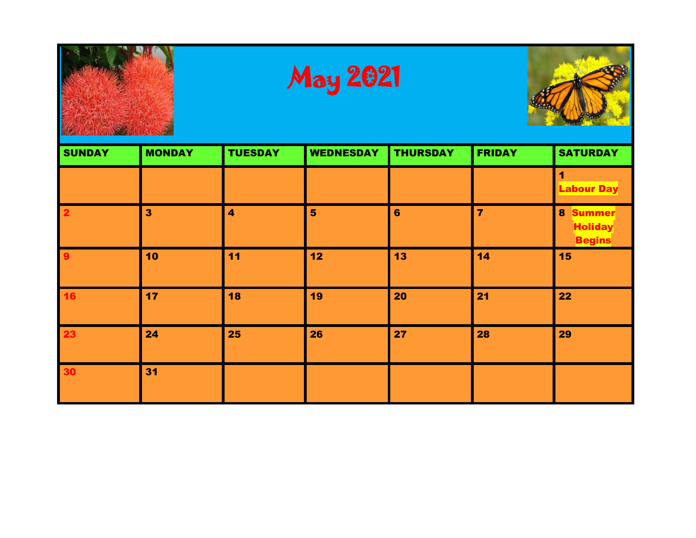



| <b>SUNDAY</b>           | <b>MONDAY</b>           | <b>TUESDAY</b>          | <b>WEDNESDAY</b> | <b>THURSDAY</b> | <b>FRIDAY</b>  | <b>SATURDAY</b>                                       |
|-------------------------|-------------------------|-------------------------|------------------|-----------------|----------------|-------------------------------------------------------|
|                         |                         |                         |                  |                 |                | 1<br><b>Labour Day</b>                                |
| $\overline{\mathbf{2}}$ | $\overline{\mathbf{3}}$ | $\overline{\mathbf{4}}$ | 5                | $6\phantom{1}$  | $\overline{7}$ | 8<br><b>Summer</b><br><b>Holiday</b><br><b>Begins</b> |
| 9                       | 10                      | 11                      | 12               | 13              | 14             | 15                                                    |
| <b>16</b>               | 17                      | 18                      | 19               | 20              | 21             | 22                                                    |
| 23                      | 24                      | 25                      | 26               | 27              | 28             | 29                                                    |
| 30                      | 31                      |                         |                  |                 |                |                                                       |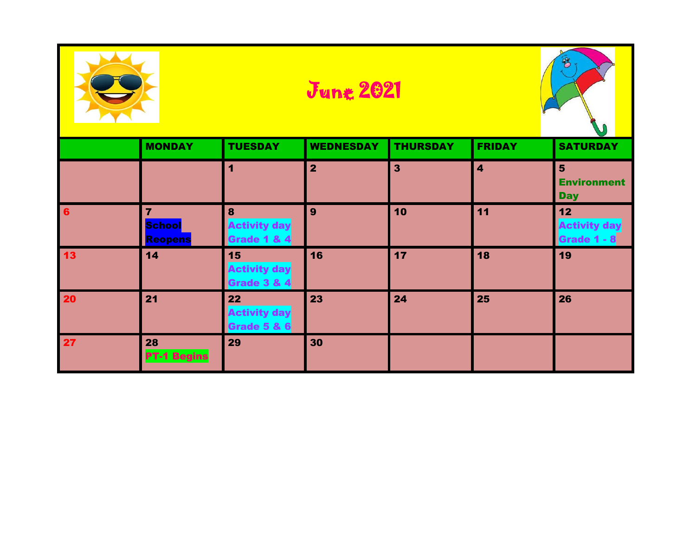|           |                                     |                                                     | B<br><b>June 2021</b> |                 |                         |                                                    |  |
|-----------|-------------------------------------|-----------------------------------------------------|-----------------------|-----------------|-------------------------|----------------------------------------------------|--|
|           | <b>MONDAY</b>                       | <b>TUESDAY</b>                                      | <b>WEDNESDAY</b>      | <b>THURSDAY</b> | <b>FRIDAY</b>           | <b>SATURDAY</b>                                    |  |
|           |                                     | $\overline{1}$                                      | $\overline{2}$        | $\mathbf{3}$    | $\overline{\mathbf{4}}$ | $5\phantom{1}$<br><b>Environment</b><br><b>Day</b> |  |
| 6         | $\overline{7}$<br>School<br>Reopens | 8<br><b>Activity day</b><br><b>Grade 1 &amp; 4</b>  | 9                     | 10              | 11                      | 12<br>Activity day<br>Grade 1 - 8                  |  |
| <b>13</b> | 14                                  | 15<br><b>Activity day</b><br><b>Grade 3 &amp; 4</b> | 16                    | 17              | 18                      | 19                                                 |  |
| 20        | 21                                  | 22<br><b>Activity day</b><br><b>Grade 5 &amp; 6</b> | 23                    | 24              | 25                      | 26                                                 |  |
| 27        | 28<br><b>PT-1 Begins</b>            | 29                                                  | 30                    |                 |                         |                                                    |  |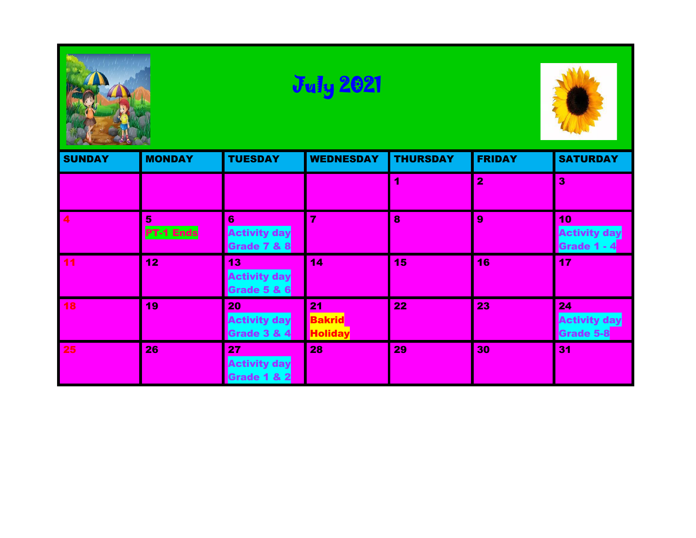

# July 2021



| <b>SUNDAY</b> | <b>MONDAY</b>         | <b>TUESDAY</b>                                      | <b>WEDNESDAY</b>                      | <b>THURSDAY</b> | <b>FRIDAY</b>  | <b>SATURDAY</b>                               |
|---------------|-----------------------|-----------------------------------------------------|---------------------------------------|-----------------|----------------|-----------------------------------------------|
|               |                       |                                                     |                                       |                 | $\overline{2}$ | 3                                             |
| 4             | 5<br><b>PT-1 Ends</b> | 6<br><b>Activity day</b><br><b>Grade 7 &amp; 8</b>  | 7                                     | 8               | 9              | 10<br><b>Activity day</b><br>Grade 1 - 4      |
| 11            | 12 <sub>2</sub>       | 13<br><b>Activity day</b><br>Grade 5 & 6            | 14                                    | 15              | 16             | 17                                            |
| 18            | 19                    | 20<br><b>Activity day</b><br><b>Grade 3 &amp; 4</b> | 21<br><b>Bakrid</b><br><b>Holiday</b> | 22              | 23             | 24<br><b>Activity day</b><br><b>Grade 5-8</b> |
| 25            | 26                    | 27<br><b>Activity day</b><br>Grade 1 & 2            | 28                                    | 29              | 30             | 31                                            |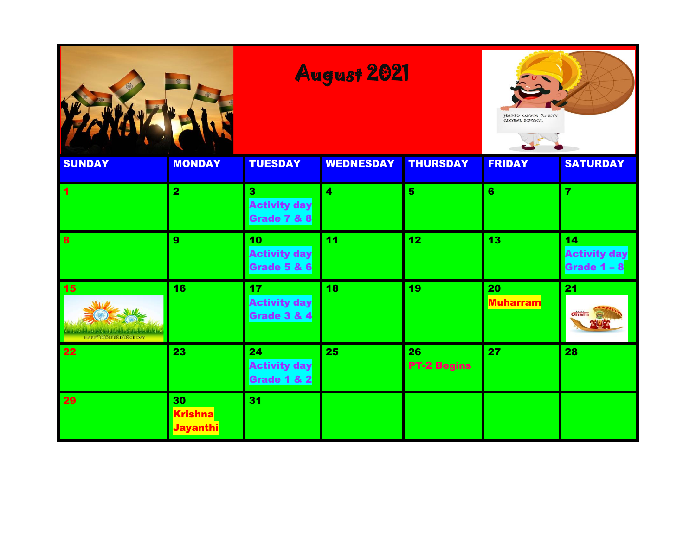### August 2021



| <b>SUNDAY</b>                                                             | <b>MONDAY</b>                           | <b>TUESDAY</b>                                        | <b>WEDNESDAY</b> | <b>THURSDAY</b>          | <b>FRIDAY</b>         | <b>SATURDAY</b>                            |
|---------------------------------------------------------------------------|-----------------------------------------|-------------------------------------------------------|------------------|--------------------------|-----------------------|--------------------------------------------|
| $\blacktriangleleft$                                                      | $\overline{\mathbf{2}}$                 | 3<br><b>Activity day</b><br>Grade 7 & 8               | 4                | $5\phantom{1}$           | 6                     | 7                                          |
| $\mathbf{8}$                                                              | 9                                       | 10 <sub>1</sub><br><b>Activity day</b><br>Grade 5 & 6 | 11               | 12                       | 13                    | 14<br><b>Activity day</b><br>Grade $1 - 8$ |
| 15<br><b>LE TIME Y, MY OF PARTY WEIGHT YOUR</b><br>HAPPY INDEPENDENCE DAY | 16                                      | 17<br><b>Activity day</b><br>Grade 3 & 4              | 18               | 19                       | 20<br><b>Muharram</b> | 21<br>$\frac{1}{\sinh}$<br><b>NUET</b>     |
| 22                                                                        | 23                                      | 24<br><b>Activity day</b><br>Grade 1 & 2              | 25               | 26<br><b>PT-2 Begins</b> | 27                    | 28                                         |
| 29                                                                        | 30<br><b>Krishna</b><br><b>Jayanthi</b> | 31                                                    |                  |                          |                       |                                            |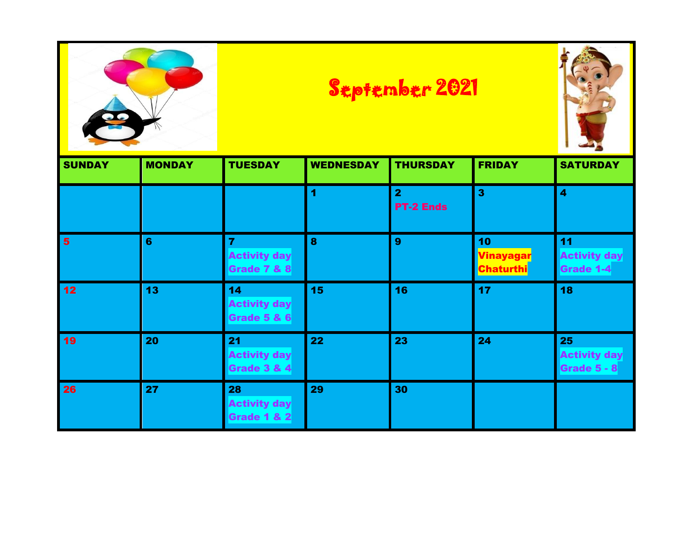|                 |               |                                                                 |                  | <b>September 2021</b>              |                                                  |                                                 |  |
|-----------------|---------------|-----------------------------------------------------------------|------------------|------------------------------------|--------------------------------------------------|-------------------------------------------------|--|
| <b>SUNDAY</b>   | <b>MONDAY</b> | <b>TUESDAY</b>                                                  | <b>WEDNESDAY</b> | <b>THURSDAY</b>                    | <b>FRIDAY</b>                                    | <b>SATURDAY</b>                                 |  |
|                 |               |                                                                 | 1                | $\overline{2}$<br><b>PT-2 Ends</b> | $\overline{\mathbf{3}}$                          | $\overline{\mathbf{4}}$                         |  |
| $5\overline{5}$ | 6             | $\overline{7}$<br><b>Activity day</b><br><b>Grade 7 &amp; 8</b> | 8                | 9                                  | 10<br><mark>Vinayagar</mark><br><b>Chaturthi</b> | 11<br><b>Activity day</b><br>Grade 1-4          |  |
| 12              | 13            | 14<br><b>Activity day</b><br><b>Grade 5 &amp; 6</b>             | 15               | 16                                 | 17                                               | 18                                              |  |
| 19              | 20            | 21<br><b>Activity day</b><br><b>Grade 3 &amp; 4</b>             | 22               | 23                                 | 24                                               | 25<br><b>Activity day</b><br><b>Grade 5 - 8</b> |  |
| 26              | 27            | 28<br><b>Activity day</b><br><b>Grade 1 &amp; 2</b>             | 29               | 30                                 |                                                  |                                                 |  |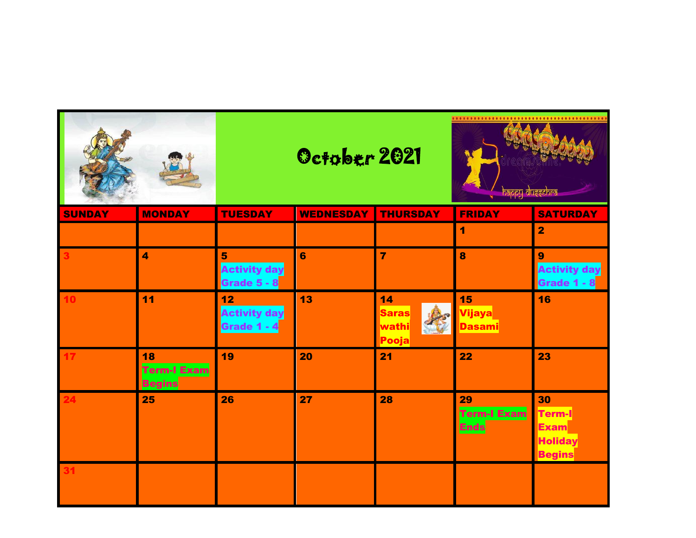|               |                                    | October 2021                             |                  |                                      | happy duęęchra                             |                                                                       |  |
|---------------|------------------------------------|------------------------------------------|------------------|--------------------------------------|--------------------------------------------|-----------------------------------------------------------------------|--|
| <b>SUNDAY</b> | <b>MONDAY</b>                      | <b>TUESDAY</b>                           | <b>WEDNESDAY</b> | <b>THURSDAY</b>                      | <b>FRIDAY</b>                              | <b>SATURDAY</b>                                                       |  |
|               |                                    |                                          |                  |                                      | 1                                          | $\overline{\mathbf{2}}$                                               |  |
|               | $\blacktriangleleft$               | 5<br><b>Activity day</b><br>Grade 5 - 8  | 6                | $\overline{7}$                       | 8                                          | 9<br><b>Activity day</b><br>Grade 1 - 8                               |  |
| 10            | 11                                 | 12<br><b>Activity day</b><br>Grade 1 - 4 | 13               | 14<br><b>Saras</b><br>wathi<br>Pooja | 15<br><mark>Vijaya</mark><br><b>Dasami</b> | 16                                                                    |  |
|               | 18<br>Term-I Exam<br><b>Begins</b> | 19                                       | 20               | 21                                   | 22                                         | 23                                                                    |  |
|               | 25                                 | 26                                       | 27               | 28                                   | 29<br>Term-I Exam<br><b>Ends</b>           | 30<br><b>Term-I</b><br><b>Exam</b><br><b>Holiday</b><br><b>Begins</b> |  |
|               |                                    |                                          |                  |                                      |                                            |                                                                       |  |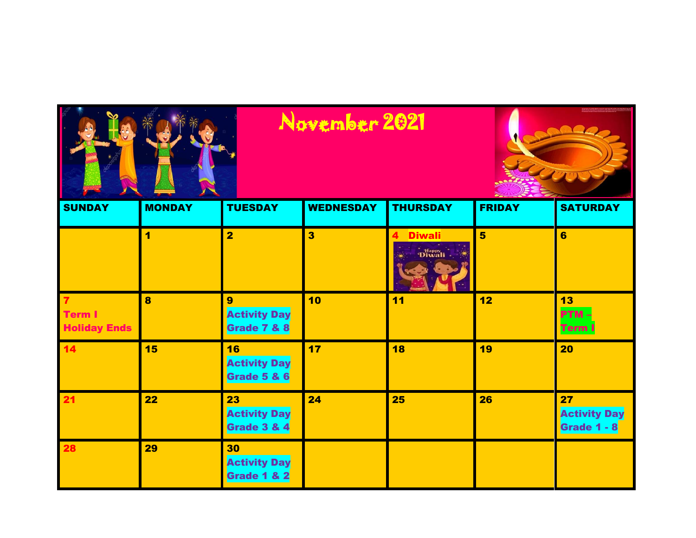| <b>SUNDAY</b>                                          | <b>MONDAY</b> | <b>TUESDAY</b>                           | <b>WEDNESDAY</b>        | <b>THURSDAY</b>         | <b>FRIDAY</b>  | <b>SATURDAY</b>                          |
|--------------------------------------------------------|---------------|------------------------------------------|-------------------------|-------------------------|----------------|------------------------------------------|
|                                                        | 1             | $\overline{\mathbf{2}}$                  | $\overline{\mathbf{3}}$ | <b>Diwali</b><br>Diwali | $5\phantom{1}$ | $6\phantom{a}$                           |
| $\overline{7}$<br><b>Term I</b><br><b>Holiday Ends</b> | 8             | 9<br><b>Activity Day</b><br>Grade 7 & 8  | 10                      | 11                      | 12             | 13<br>PTM-<br><b>Term I</b>              |
| 14                                                     | 15            | 16<br><b>Activity Day</b><br>Grade 5 & 6 | 17                      | 18                      | 19             | 20                                       |
| 21                                                     | 22            | 23<br><b>Activity Day</b><br>Grade 3 & 4 | 24                      | 25                      | 26             | 27<br><b>Activity Day</b><br>Grade 1 - 8 |
| 28                                                     | 29            | 30<br><b>Activity Day</b><br>Grade 1 & 2 |                         |                         |                |                                          |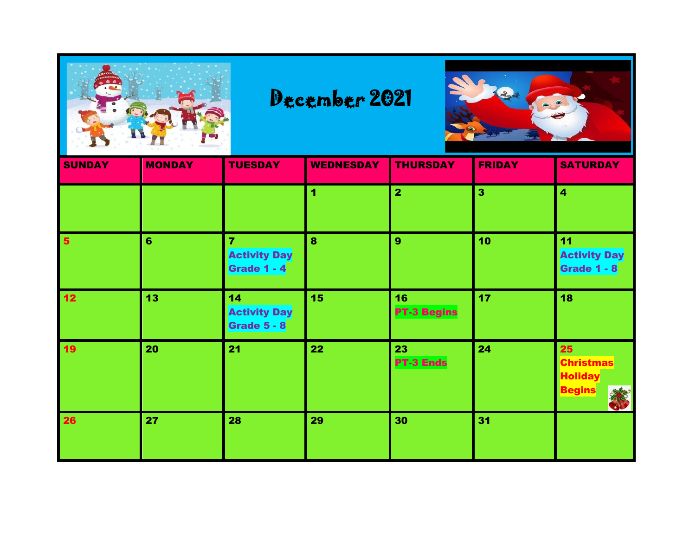

#### December 2021



| <b>SUNDAY</b>   | <b>MONDAY</b> | <b>TUESDAY</b>                                              | <b>WEDNESDAY</b> | <b>THURSDAY</b>          | <b>FRIDAY</b>           | <b>SATURDAY</b>                                           |
|-----------------|---------------|-------------------------------------------------------------|------------------|--------------------------|-------------------------|-----------------------------------------------------------|
|                 |               |                                                             | 4                | $\overline{2}$           | $\overline{\mathbf{3}}$ | $\overline{\mathbf{4}}$                                   |
| $5\phantom{1}$  | 6             | $\overline{7}$<br><b>Activity Day</b><br><b>Grade 1 - 4</b> | 8                | 9                        | 10                      | 11<br><b>Activity Day</b><br><b>Grade 1 - 8</b>           |
| 12 <sub>2</sub> | 13            | 14<br><b>Activity Day</b><br><b>Grade 5 - 8</b>             | 15               | 16<br><b>PT-3 Begins</b> | 17 <sub>2</sub>         | 18                                                        |
| 19              | 20            | 21                                                          | 22               | 23<br>PT-3 Ends          | 24                      | 25<br><b>Christmas</b><br><b>Holiday</b><br><b>Begins</b> |
| 26              | 27            | 28                                                          | 29               | 30                       | 31                      |                                                           |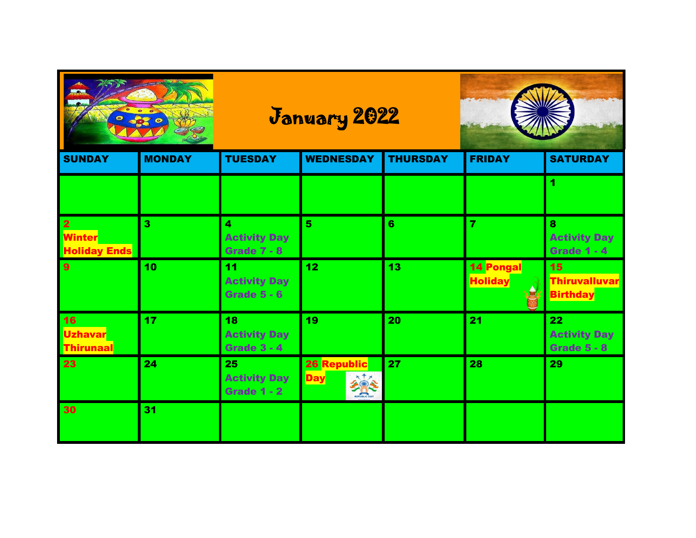

## January 2022



| <b>SUNDAY</b>                                                   | <b>MONDAY</b> | <b>TUESDAY</b>                                  | <b>WEDNESDAY</b>          | <b>THURSDAY</b> | <b>FRIDAY</b>                      | <b>SATURDAY</b>                                 |
|-----------------------------------------------------------------|---------------|-------------------------------------------------|---------------------------|-----------------|------------------------------------|-------------------------------------------------|
|                                                                 |               |                                                 |                           |                 |                                    |                                                 |
| $\overline{\mathbf{2}}$<br><b>Winter</b><br><b>Holiday Ends</b> | з             | 4<br><b>Activity Day</b><br><b>Grade 7 - 8</b>  | 5                         | 6               |                                    | 8<br><b>Activity Day</b><br><b>Grade 1 - 4</b>  |
| 9                                                               | 10            | 11<br><b>Activity Day</b><br><b>Grade 5 - 6</b> | 12 <sub>2</sub>           | 13              | <b>14 Pongal</b><br><b>Holiday</b> | 15<br><b>Thiruvalluvar</b><br><b>Birthday</b>   |
| <b>16</b><br><b>Uzhavar</b><br>Thirunaal                        | 17            | 18<br><b>Activity Day</b><br><b>Grade 3 - 4</b> | 19                        | 20              | 21                                 | 22<br><b>Activity Day</b><br><b>Grade 5 - 8</b> |
| 23                                                              | 24            | 25<br><b>Activity Day</b><br><b>Grade 1 - 2</b> | 26 Republic<br><b>Day</b> | 27              | 28                                 | 29                                              |
| 30                                                              | 31            |                                                 |                           |                 |                                    |                                                 |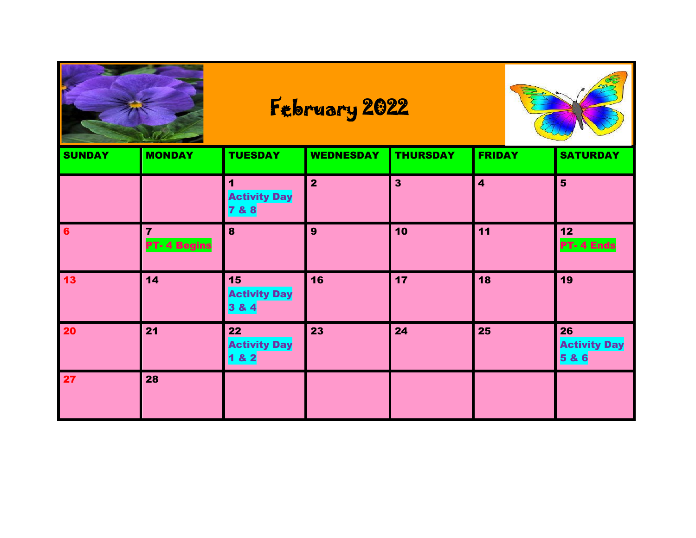

## February 2022



| <b>SUNDAY</b>  | <b>MONDAY</b>           | <b>TUESDAY</b>                     | <b>WEDNESDAY</b>        | <b>THURSDAY</b>         | <b>FRIDAY</b>           | <b>SATURDAY</b>                   |
|----------------|-------------------------|------------------------------------|-------------------------|-------------------------|-------------------------|-----------------------------------|
|                |                         | <b>Activity Day</b><br>7&8         | $\overline{\mathbf{2}}$ | $\overline{\mathbf{3}}$ | $\overline{\mathbf{4}}$ | $5\phantom{1}$                    |
| $6\phantom{a}$ | 7<br><b>PT-4 Begins</b> | 8                                  | 9                       | 10                      | 11                      | 12<br><b>PT-4 Ends</b>            |
| $13$           | 14                      | 15<br><b>Activity Day</b><br>3 & 4 | 16                      | 17                      | 18                      | 19                                |
| 20             | 21                      | 22<br><b>Activity Day</b><br>1 & 2 | 23                      | 24                      | 25                      | 26<br><b>Activity Day</b><br>5& 6 |
| 27             | 28                      |                                    |                         |                         |                         |                                   |